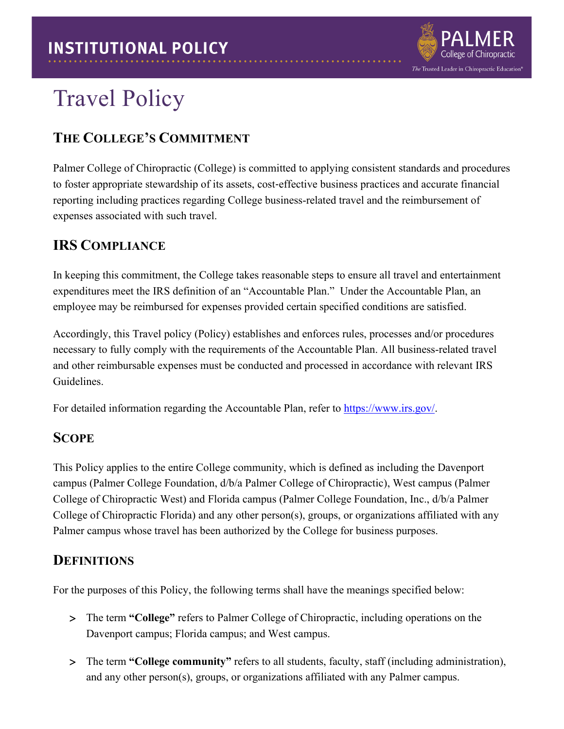

# Travel Policy

## **THE COLLEGE'S COMMITMENT**

Palmer College of Chiropractic (College) is committed to applying consistent standards and procedures to foster appropriate stewardship of its assets, cost‐effective business practices and accurate financial reporting including practices regarding College business-related travel and the reimbursement of expenses associated with such travel.

#### **IRS COMPLIANCE**

In keeping this commitment, the College takes reasonable steps to ensure all travel and entertainment expenditures meet the IRS definition of an "Accountable Plan." Under the Accountable Plan, an employee may be reimbursed for expenses provided certain specified conditions are satisfied.

Accordingly, this Travel policy (Policy) establishes and enforces rules, processes and/or procedures necessary to fully comply with the requirements of the Accountable Plan. All business-related travel and other reimbursable expenses must be conducted and processed in accordance with relevant IRS Guidelines.

For detailed information regarding the Accountable Plan, refer to [https://www.irs.gov/.](https://www.irs.gov/)

#### **SCOPE**

This Policy applies to the entire College community, which is defined as including the Davenport campus (Palmer College Foundation, d/b/a Palmer College of Chiropractic), West campus (Palmer College of Chiropractic West) and Florida campus (Palmer College Foundation, Inc., d/b/a Palmer College of Chiropractic Florida) and any other person(s), groups, or organizations affiliated with any Palmer campus whose travel has been authorized by the College for business purposes.

#### **DEFINITIONS**

For the purposes of this Policy, the following terms shall have the meanings specified below:

- > The term **"College"** refers to Palmer College of Chiropractic, including operations on the Davenport campus; Florida campus; and West campus.
- > The term **"College community"** refers to all students, faculty, staff (including administration), and any other person(s), groups, or organizations affiliated with any Palmer campus.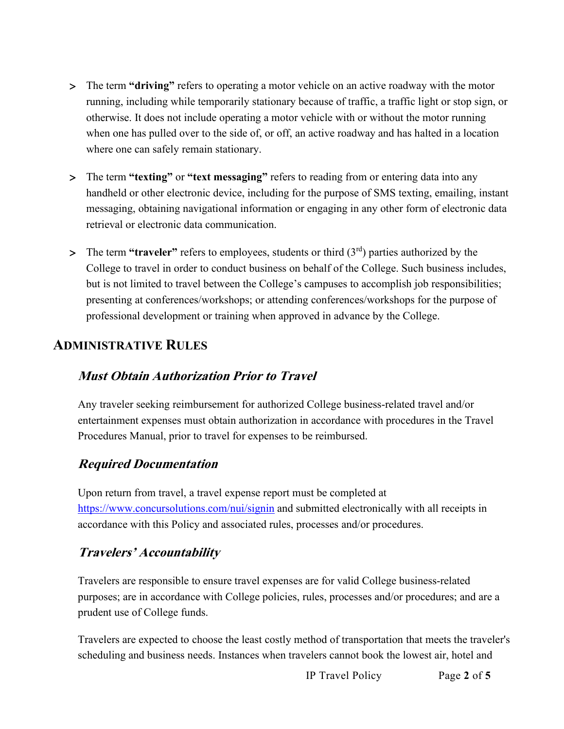- > The term **"driving"** refers to operating a motor vehicle on an active roadway with the motor running, including while temporarily stationary because of traffic, a traffic light or stop sign, or otherwise. It does not include operating a motor vehicle with or without the motor running when one has pulled over to the side of, or off, an active roadway and has halted in a location where one can safely remain stationary.
- > The term **"texting"** or **"text messaging"** refers to reading from or entering data into any handheld or other electronic device, including for the purpose of SMS texting, emailing, instant messaging, obtaining navigational information or engaging in any other form of electronic data retrieval or electronic data communication.
- > The term **"traveler"** refers to employees, students or third (3rd) parties authorized by the College to travel in order to conduct business on behalf of the College. Such business includes, but is not limited to travel between the College's campuses to accomplish job responsibilities; presenting at conferences/workshops; or attending conferences/workshops for the purpose of professional development or training when approved in advance by the College.

## **ADMINISTRATIVE RULES**

#### **Must Obtain Authorization Prior to Travel**

Any traveler seeking reimbursement for authorized College business-related travel and/or entertainment expenses must obtain authorization in accordance with procedures in the Travel Procedures Manual, prior to travel for expenses to be reimbursed.

#### **Required Documentation**

Upon return from travel, a travel expense report must be completed at <https://www.concursolutions.com/nui/signin> and submitted electronically with all receipts in accordance with this Policy and associated rules, processes and/or procedures.

#### **Travelers' Accountability**

Travelers are responsible to ensure travel expenses are for valid College business-related purposes; are in accordance with College policies, rules, processes and/or procedures; and are a prudent use of College funds.

Travelers are expected to choose the least costly method of transportation that meets the traveler's scheduling and business needs. Instances when travelers cannot book the lowest air, hotel and

IP Travel Policy Page **2** of **5**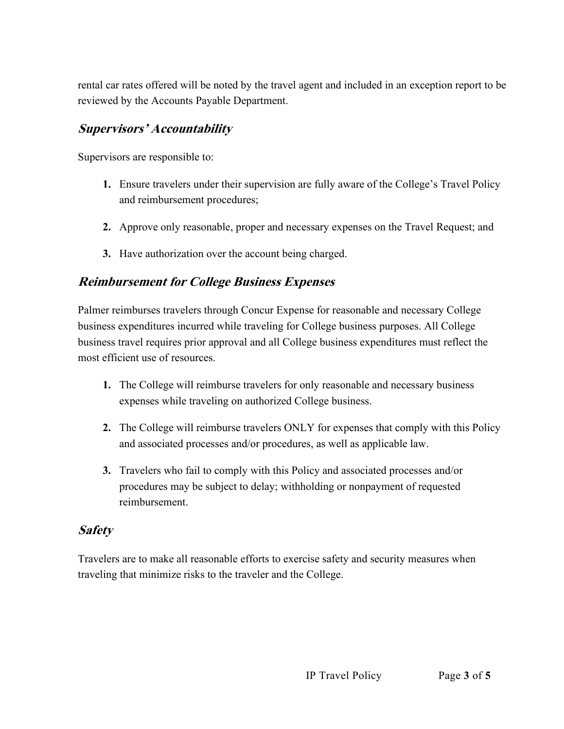rental car rates offered will be noted by the travel agent and included in an exception report to be reviewed by the Accounts Payable Department.

#### **Supervisors' Accountability**

Supervisors are responsible to:

- **1.** Ensure travelers under their supervision are fully aware of the College's Travel Policy and reimbursement procedures;
- **2.** Approve only reasonable, proper and necessary expenses on the Travel Request; and
- **3.** Have authorization over the account being charged.

#### **Reimbursement for College Business Expenses**

Palmer reimburses travelers through Concur Expense for reasonable and necessary College business expenditures incurred while traveling for College business purposes. All College business travel requires prior approval and all College business expenditures must reflect the most efficient use of resources.

- **1.** The College will reimburse travelers for only reasonable and necessary business expenses while traveling on authorized College business.
- **2.** The College will reimburse travelers ONLY for expenses that comply with this Policy and associated processes and/or procedures, as well as applicable law.
- **3.** Travelers who fail to comply with this Policy and associated processes and/or procedures may be subject to delay; withholding or nonpayment of requested reimbursement.

#### **Safety**

Travelers are to make all reasonable efforts to exercise safety and security measures when traveling that minimize risks to the traveler and the College.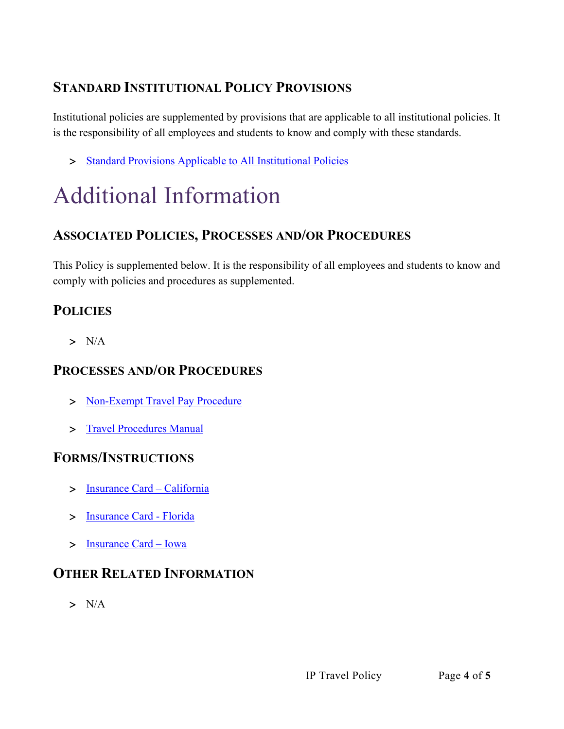# **STANDARD INSTITUTIONAL POLICY PROVISIONS**

Institutional policies are supplemented by provisions that are applicable to all institutional policies. It is the responsibility of all employees and students to know and comply with these standards.

> [Standard Provisions Applicable to All Institutional Policies](http://www.palmer.edu/uploadedFiles/Pages/Students/Resources_and_Offices/Handbook_and_Policies/_pdf/Standard-Provisions-Applicable-to-All-Institutional-Policies.pdf)

# Additional Information

## **ASSOCIATED POLICIES, PROCESSES AND/OR PROCEDURES**

This Policy is supplemented below. It is the responsibility of all employees and students to know and comply with policies and procedures as supplemented.

## **POLICIES**

 $> N/A$ 

## **PROCESSES AND/OR PROCEDURES**

- > [Non-Exempt Travel Pay Procedure](https://livepalmer.sharepoint.com/:b:/r/sites/HumanResources/Shared%20Documents/Non%20Exempt%20Travel%20Pay%20Procedures.pdf?csf=1&web=1&e=iAMT6o)
- > [Travel Procedures Manual](https://livepalmer.sharepoint.com/:b:/r/sites/FinancialAffairs/Shared%20Documents/Travel%20Procedures%20Manual%2001-23-2020.pdf?csf=1&web=1&e=7hcPaa)

## **FORMS/INSTRUCTIONS**

- > [Insurance Card –](https://livepalmer.sharepoint.com/:b:/r/sites/FinancialAffairs/Shared%20Documents/CA%20Rental%202020.pdf?csf=1&web=1&e=FWgHtm) California
- > [Insurance Card -](https://livepalmer.sharepoint.com/:b:/r/sites/FinancialAffairs/Shared%20Documents/FL%20Rental%202020.pdf?csf=1&web=1&e=4sHopi) Florida
- > [Insurance Card –](https://livepalmer.sharepoint.com/:b:/r/sites/FinancialAffairs/Shared%20Documents/IA%20Rental%202020.pdf?csf=1&web=1&e=fvWNot) Iowa

## **OTHER RELATED INFORMATION**

> N/A